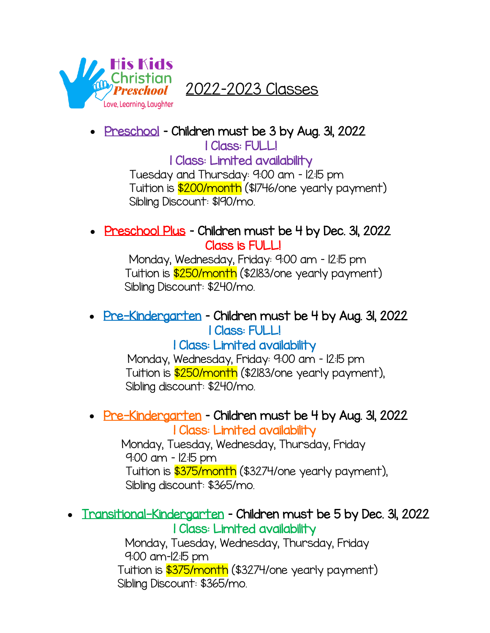

2022–2023 Classes

• Preschool - Children must be 3 by Aug. 31, 2022

1 Class: FULL!

1 Class: Limited availability

Tuesday and Thursday: 9:00 am – 12:15 pm Tuition is \$200/month (\$1746/one yearly payment) Sibling Discount: \$190/mo.

### • Preschool Plus - Children must be 4 by Dec. 31, 2022 Class is FULL!

 Monday, Wednesday, Friday: 9:00 am – 12:15 pm Tuition is \$250/month (\$2183/one yearly payment) Sibling Discount: \$240/mo.

# • Pre-Kindergarten – Children must be 4 by Aug. 31, 2022 1 Class: FULL!

## 1 Class: Limited availability

 Monday, Wednesday, Friday: 9:00 am – 12:15 pm Tuition is \$250/month (\$2183/one yearly payment), Sibling discount: \$240/mo.

#### • Pre-Kindergarten – Children must be 4 by Aug. 31, 2022 1 Class: Limited availability

 Monday, Tuesday, Wednesday, Thursday, Friday 9:00 am – 12:15 pm Tuition is \$375/month (\$3274/one yearly payment), Sibling discount: \$365/mo.

#### • Inansitional-Kindergarten – Children must be 5 by Dec. 31, 2022 1 Class: Limited availability

Monday, Tuesday, Wednesday, Thursday, Friday 9:00 am–12:15 pm Tuition is \$375/month (\$3274/one yearly payment) Sibling Discount: \$365/mo.